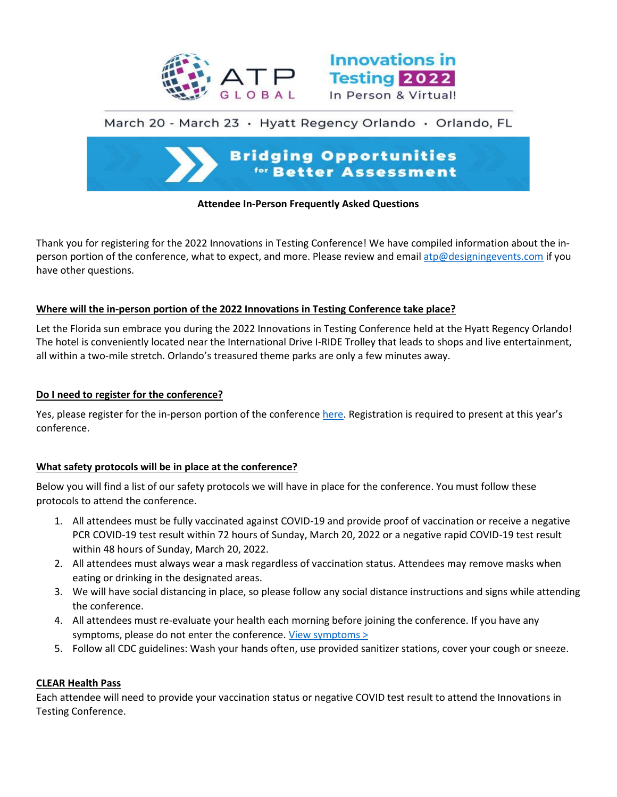



# March 20 - March 23 · Hyatt Regency Orlando · Orlando, FL



## **Attendee In-Person Frequently Asked Questions**

Thank you for registering for the 2022 Innovations in Testing Conference! We have compiled information about the inperson portion of the conference, what to expect, and more. Please review and emai[l atp@designingevents.com](mailto:atp@designingevents.com) if you have other questions.

## **Where will the in-person portion of the 2022 Innovations in Testing Conference take place?**

Let the Florida sun embrace you during the 2022 Innovations in Testing Conference held at the Hyatt Regency Orlando! The hotel is conveniently located near the International Drive I-RIDE Trolley that leads to shops and live entertainment, all within a two-mile stretch. Orlando's treasured theme parks are only a few minutes away.

## **Do I need to register for the conference?**

Yes, please register for the in-person portion of the conference [here.](http://www.innovationsintesting.org/register.aspx) Registration is required to present at this year's conference.

# **What safety protocols will be in place at the conference?**

Below you will find a list of our safety protocols we will have in place for the conference. You must follow these protocols to attend the conference.

- 1. All attendees must be fully vaccinated against COVID-19 and provide proof of vaccination or receive a negative PCR COVID-19 test result within 72 hours of Sunday, March 20, 2022 or a negative rapid COVID-19 test result within 48 hours of Sunday, March 20, 2022.
- 2. All attendees must always wear a mask regardless of vaccination status. Attendees may remove masks when eating or drinking in the designated areas.
- 3. We will have social distancing in place, so please follow any social distance instructions and signs while attending the conference.
- 4. All attendees must re-evaluate your health each morning before joining the conference. If you have any symptoms, please do not enter the conference. [View symptoms >](https://www.cdc.gov/coronavirus/2019-ncov/symptoms-testing/symptoms.html)
- 5. Follow all CDC guidelines: Wash your hands often, use provided sanitizer stations, cover your cough or sneeze.

# **CLEAR Health Pass**

Each attendee will need to provide your vaccination status or negative COVID test result to attend the Innovations in Testing Conference.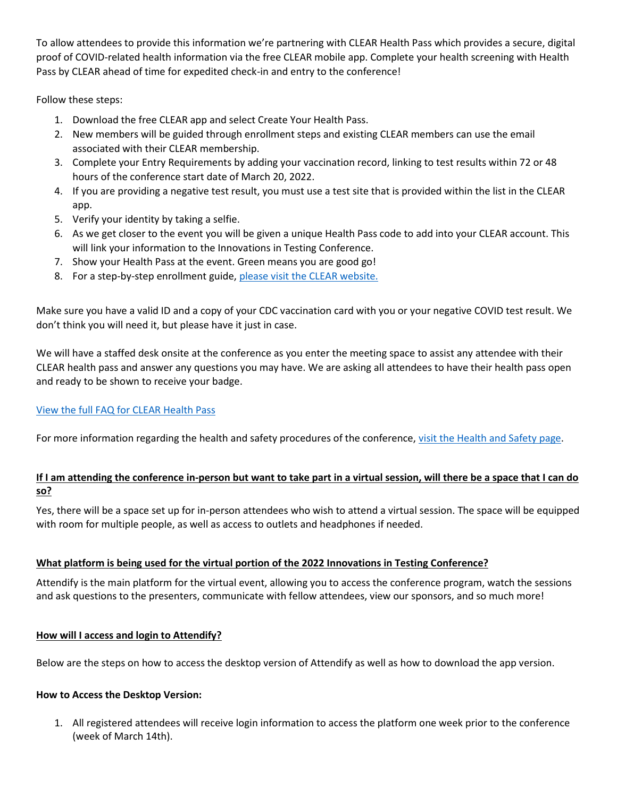To allow attendees to provide this information we're partnering with CLEAR Health Pass which provides a secure, digital proof of COVID-related health information via the free CLEAR mobile app. Complete your health screening with Health Pass by CLEAR ahead of time for expedited check-in and entry to the conference!

Follow these steps:

- 1. Download the free CLEAR app and select Create Your Health Pass.
- 2. New members will be guided through enrollment steps and existing CLEAR members can use the email associated with their CLEAR membership.
- 3. Complete your Entry Requirements by adding your vaccination record, linking to test results within 72 or 48 hours of the conference start date of March 20, 2022.
- 4. If you are providing a negative test result, you must use a test site that is provided within the list in the CLEAR app.
- 5. Verify your identity by taking a selfie.
- 6. As we get closer to the event you will be given a unique Health Pass code to add into your CLEAR account. This will link your information to the Innovations in Testing Conference.
- 7. Show your Health Pass at the event. Green means you are good go!
- 8. For a step-by-step enrollment guide[, please visit the CLEAR website.](https://www.clearme.com/clrhp-employee-general)

Make sure you have a valid ID and a copy of your CDC vaccination card with you or your negative COVID test result. We don't think you will need it, but please have it just in case.

We will have a staffed desk onsite at the conference as you enter the meeting space to assist any attendee with their CLEAR health pass and answer any questions you may have. We are asking all attendees to have their health pass open and ready to be shown to receive your badge.

# [View the full FAQ for CLEAR Health Pass](http://www.innovationsintesting.org/clear-faq.aspx)

For more information regarding the health and safety procedures of the conference, [visit the Health and Safety page.](http://innovationsintesting.org/health-safety-procedures.aspx)

# **If I am attending the conference in-person but want to take part in a virtual session, will there be a space that I can do so?**

Yes, there will be a space set up for in-person attendees who wish to attend a virtual session. The space will be equipped with room for multiple people, as well as access to outlets and headphones if needed.

# **What platform is being used for the virtual portion of the 2022 Innovations in Testing Conference?**

Attendify is the main platform for the virtual event, allowing you to access the conference program, watch the sessions and ask questions to the presenters, communicate with fellow attendees, view our sponsors, and so much more!

## **How will I access and login to Attendify?**

Below are the steps on how to access the desktop version of Attendify as well as how to download the app version.

## **How to Access the Desktop Version:**

1. All registered attendees will receive login information to access the platform one week prior to the conference (week of March 14th).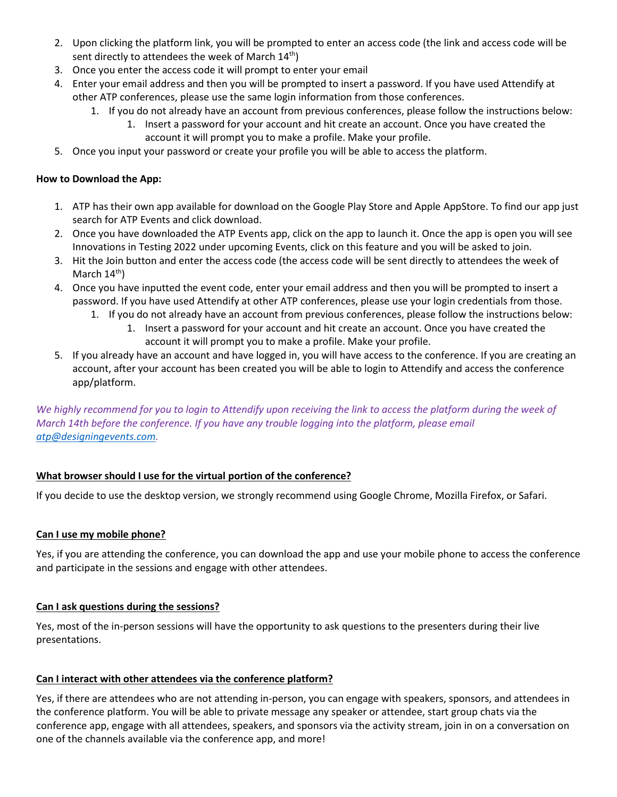- 2. Upon clicking the platform link, you will be prompted to enter an access code (the link and access code will be sent directly to attendees the week of March  $14<sup>th</sup>$ )
- 3. Once you enter the access code it will prompt to enter your email
- 4. Enter your email address and then you will be prompted to insert a password. If you have used Attendify at other ATP conferences, please use the same login information from those conferences.
	- 1. If you do not already have an account from previous conferences, please follow the instructions below:
		- 1. Insert a password for your account and hit create an account. Once you have created the account it will prompt you to make a profile. Make your profile.
- 5. Once you input your password or create your profile you will be able to access the platform.

## **How to Download the App:**

- 1. ATP has their own app available for download on the Google Play Store and Apple AppStore. To find our app just search for ATP Events and click download.
- 2. Once you have downloaded the ATP Events app, click on the app to launch it. Once the app is open you will see Innovations in Testing 2022 under upcoming Events, click on this feature and you will be asked to join.
- 3. Hit the Join button and enter the access code (the access code will be sent directly to attendees the week of March  $14^{th}$ )
- 4. Once you have inputted the event code, enter your email address and then you will be prompted to insert a password. If you have used Attendify at other ATP conferences, please use your login credentials from those.
	- 1. If you do not already have an account from previous conferences, please follow the instructions below: 1. Insert a password for your account and hit create an account. Once you have created the
		- account it will prompt you to make a profile. Make your profile.
- 5. If you already have an account and have logged in, you will have access to the conference. If you are creating an account, after your account has been created you will be able to login to Attendify and access the conference app/platform.

*We highly recommend for you to login to Attendify upon receiving the link to access the platform during the week of March 14th before the conference. If you have any trouble logging into the platform, please email [atp@designingevents.com.](mailto:atp@designingevents.com)* 

# **What browser should I use for the virtual portion of the conference?**

If you decide to use the desktop version, we strongly recommend using Google Chrome, Mozilla Firefox, or Safari.

# **Can I use my mobile phone?**

Yes, if you are attending the conference, you can download the app and use your mobile phone to access the conference and participate in the sessions and engage with other attendees.

## **Can I ask questions during the sessions?**

Yes, most of the in-person sessions will have the opportunity to ask questions to the presenters during their live presentations.

# **Can I interact with other attendees via the conference platform?**

Yes, if there are attendees who are not attending in-person, you can engage with speakers, sponsors, and attendees in the conference platform. You will be able to private message any speaker or attendee, start group chats via the conference app, engage with all attendees, speakers, and sponsors via the activity stream, join in on a conversation on one of the channels available via the conference app, and more!